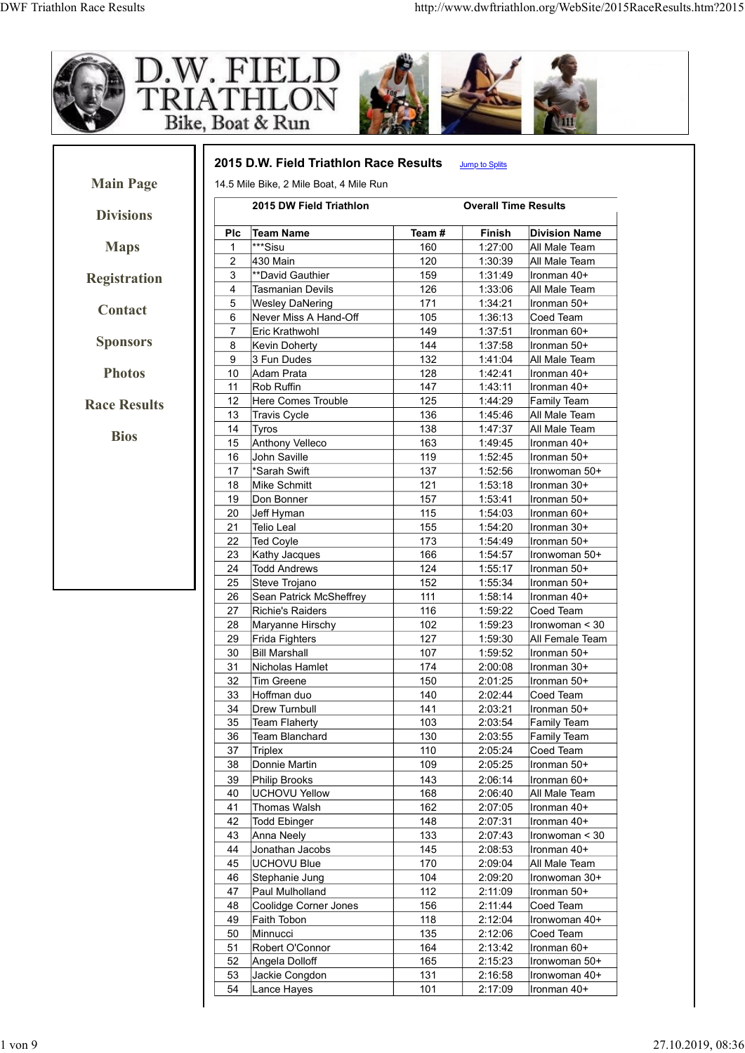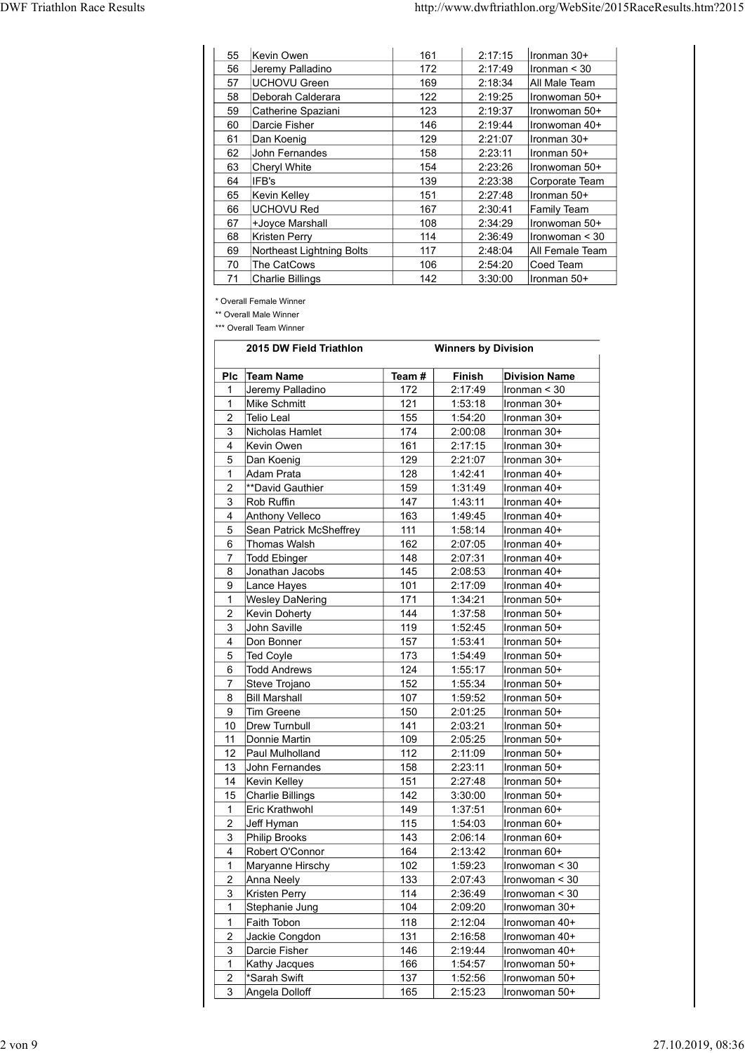| <b>DWF Triathlon Race Results</b>                                |              |                            | http://www.dwftriathlon.org/WebSite/2015RaceResults.htm?2015 |
|------------------------------------------------------------------|--------------|----------------------------|--------------------------------------------------------------|
|                                                                  |              |                            |                                                              |
|                                                                  |              |                            |                                                              |
| Kevin Owen<br>55<br>Jeremy Palladino<br>56                       | 161<br>172   | 2:17:15<br>2:17:49         | Ironman 30+<br>Ironman $<$ 30                                |
| UCHOVU Green<br>57                                               | 169          | 2:18:34                    | All Male Team                                                |
| Deborah Calderara<br>58                                          | 122          | 2:19:25                    | Ironwoman 50+                                                |
| 59<br>Catherine Spaziani                                         | 123          | 2:19:37                    | Ironwoman 50+                                                |
| Darcie Fisher<br>60                                              | 146          | 2:19:44                    | Ironwoman 40+                                                |
| Dan Koenig<br>61<br>John Fernandes<br>62                         | 129<br>158   | 2:21:07<br>2:23:11         | Ironman 30+<br>Ironman 50+                                   |
| <b>Cheryl White</b><br>63                                        | 154          | 2:23:26                    | Ironwoman 50+                                                |
| IFB's<br>64                                                      | 139          | 2:23:38                    | Corporate Team                                               |
| Kevin Kelley<br>65                                               | 151          | 2:27:48                    | Ironman 50+                                                  |
| <b>UCHOVU Red</b><br>66                                          | 167<br>108   | 2:30:41<br>2:34:29         | Family Team                                                  |
| 67<br>+Joyce Marshall<br>68<br><b>Kristen Perry</b>              | 114          | 2:36:49                    | Ironwoman 50+<br>Ironwoman < 30                              |
| Northeast Lightning Bolts<br>69                                  | 117          | 2:48:04                    | All Female Team                                              |
| 70<br>The CatCows                                                | 106          | 2:54:20                    | Coed Team                                                    |
| 71<br><b>Charlie Billings</b>                                    | 142          | 3:30:00                    | Ironman 50+                                                  |
| * Overall Female Winner                                          |              |                            |                                                              |
| ** Overall Male Winner<br>*** Overall Team Winner                |              |                            |                                                              |
|                                                                  |              |                            |                                                              |
| 2015 DW Field Triathlon                                          |              | <b>Winners by Division</b> |                                                              |
| Plc Team Name                                                    | Team#        | Finish                     | <b>Division Name</b>                                         |
| Jeremy Palladino<br>-1                                           | 172          | 2:17:49                    | Ironman < 30                                                 |
| Mike Schmitt<br>$\mathbf{1}$<br>Telio Leal<br>$\overline{2}$     | $121$<br>155 | 1:53:18<br>1:54:20         | Ironman 30+<br>Ironman 30+                                   |
| Nicholas Hamlet<br>3                                             | 174          | 2:00:08                    | Ironman 30+                                                  |
| Kevin Owen<br>4                                                  | 161          | 2:17:15                    | Ironman 30+                                                  |
| Dan Koenig<br>5                                                  | 129          | 2:21:07                    | Ironman 30+                                                  |
|                                                                  | 128          | 1:42:41                    | Ironman 40+                                                  |
| Adam Prata<br>$\mathbf{1}$                                       |              |                            |                                                              |
| **David Gauthier<br>$\overline{2}$<br>$\mathbf{3}$<br>Rob Ruffin | 159<br>147   | 1:31:49<br>1:43:11         | Ironman 40+<br>Ironman 40+                                   |

| 60             | Darcie Fisher                          | 146        |                            | 2:19:44            | Ironwoman 40+               |
|----------------|----------------------------------------|------------|----------------------------|--------------------|-----------------------------|
| 61             | Dan Koenig                             | 129        |                            | 2:21:07            | Ironman 30+                 |
| 62             | John Fernandes                         | 158        |                            | 2:23:11            | Ironman 50+                 |
| 63             | Cheryl White                           | 154        |                            | 2:23:26            | Ironwoman 50+               |
| 64             | IFB's                                  | 139        |                            | 2:23:38            | Corporate Team              |
| 65             | Kevin Kelley                           | 151        |                            | 2:27:48            | Ironman 50+                 |
| 66             | UCHOVU Red                             | 167        |                            | 2:30:41            | <b>Family Team</b>          |
| 67             | +Joyce Marshall                        | 108        |                            | 2:34:29            | Ironwoman 50+               |
| 68             | Kristen Perry                          | 114        |                            | 2:36:49            | Ironwoman < 30              |
| 69<br>$70\,$   | Northeast Lightning Bolts              | 117        |                            | 2:48:04            | All Female Team             |
| 71             | The CatCows<br><b>Charlie Billings</b> | 106<br>142 |                            | 2:54:20<br>3:30:00 | Coed Team<br>Ironman 50+    |
|                | * Overall Female Winner                |            |                            |                    |                             |
|                | ** Overall Male Winner                 |            |                            |                    |                             |
|                | *** Overall Team Winner                |            |                            |                    |                             |
|                | 2015 DW Field Triathlon                |            | <b>Winners by Division</b> |                    |                             |
|                | Plc Team Name                          | Team#      | Finish                     |                    | <b>Division Name</b>        |
| 1              | Jeremy Palladino                       | 172        | 2:17:49                    |                    | Ironman < 30                |
| $\mathbf{1}$   | Mike Schmitt                           | 121        | 1:53:18                    |                    | Ironman 30+                 |
| 2              | Telio Leal                             | 155        | 1:54:20                    |                    | Ironman 30+                 |
| 3              | Nicholas Hamlet                        | 174        | 2:00:08                    |                    | Ironman 30+                 |
| 4              | Kevin Owen                             | 161        | 2:17:15                    |                    | Ironman 30+                 |
| 5              | Dan Koenig                             | 129        | 2:21:07                    |                    | lIronman 30+<br>Ironman 40+ |
| 1<br>2         | Adam Prata<br>**David Gauthier         | 128<br>159 | 1:42:41<br>1:31:49         |                    | Ironman 40+                 |
| 3              | Rob Ruffin                             | 147        | 1:43:11                    |                    | Ironman 40+                 |
| 4              | Anthony Velleco                        | 163        | 1:49:45                    |                    | Ironman 40+                 |
| 5              | Sean Patrick McSheffrey                | 111        | 1:58:14                    |                    | Ironman 40+                 |
| 6              | Thomas Walsh                           | 162        | 2:07:05                    |                    | Ironman 40+                 |
| $\overline{7}$ | Todd Ebinger                           | 148        | 2:07:31                    |                    | Ironman 40+                 |
| 8              | Jonathan Jacobs                        | 145        | 2:08:53                    |                    | Ironman 40+                 |
| 9              | Lance Hayes                            | 101        | 2:17:09                    |                    | llronman 40+                |
| $\mathbf{1}$   | <b>Wesley DaNering</b>                 | 171        | 1:34:21                    |                    | Ironman 50+                 |
| $\overline{c}$ | Kevin Doherty                          | 144        | 1:37:58                    |                    | Ironman 50+                 |
| 3              | John Saville                           | 119        | 1:52:45                    |                    | Ironman 50+                 |
| 4              | Don Bonner                             | 157        | 1:53:41                    |                    | Ironman 50+                 |
| 5              | Ted Coyle                              | 173        | 1:54:49                    |                    | Ironman 50+                 |
| 6              | <b>Todd Andrews</b>                    | 124        | 1:55:17                    |                    | Ironman 50+                 |
| 7              | Steve Trojano                          | 152        | 1:55:34                    |                    | Ironman 50+                 |
| 8              | <b>Bill Marshall</b>                   | 107        | 1:59:52                    |                    | Ironman 50+                 |
| 9              | Tim Greene                             | 150        | 2:01:25                    |                    | Ironman 50+                 |
| 10<br>11       | <b>Drew Turnbull</b><br>Donnie Martin  | 141<br>109 | 2:03:21<br>2:05:25         |                    | Ironman 50+<br>Ironman 50+  |
| 12             | Paul Mulholland                        | 112        | 2:11:09                    |                    | Ironman 50+                 |
| 13             | John Fernandes                         | 158        | 2:23:11                    |                    | Ironman 50+                 |
| 14             | Kevin Kelley                           | 151        | 2:27:48                    |                    | Ironman 50+                 |
| 15             | Charlie Billings                       | 142        | 3:30:00                    |                    | Ironman 50+                 |
| $\mathbf{1}$   | Eric Krathwohl                         | 149        | 1:37:51                    |                    | Ironman 60+                 |
| 2              | Jeff Hyman                             | 115        | 1:54:03                    |                    | Ironman 60+                 |
| 3              | Philip Brooks                          | 143        | 2:06:14                    |                    | Ironman 60+                 |
| 4              | Robert O'Connor                        | 164        | 2:13:42                    |                    | Ironman 60+                 |
| $\mathbf{1}$   | Maryanne Hirschy                       | 102        | 1:59:23                    |                    | $l$ ronwoman < 30           |
| 2              | Anna Neely                             | 133        | 2:07:43                    |                    | $l$ ronwoman < 30           |
| 3              | Kristen Perry                          | 114        | 2:36:49                    |                    | $l$ ronwoman < 30           |
| 1              | Stephanie Jung                         | 104        | 2:09:20                    |                    | Ironwoman 30+               |
| $\mathbf{1}$   | Faith Tobon                            | 118        | 2:12:04                    |                    | Ironwoman 40+               |
| 2              | Jackie Congdon                         | 131        | 2:16:58                    |                    | Ironwoman 40+               |
| 3              | Darcie Fisher                          | 146        | 2:19:44                    |                    | Ironwoman 40+               |
| 1              | Kathy Jacques                          | 166        | 1:54:57                    |                    | Ironwoman 50+               |
| 2              | *Sarah Swift                           | 137        | 1:52:56                    |                    | Ironwoman 50+               |
| 3              | Angela Dolloff                         | 165        | 2:15:23                    |                    | Ironwoman 50+               |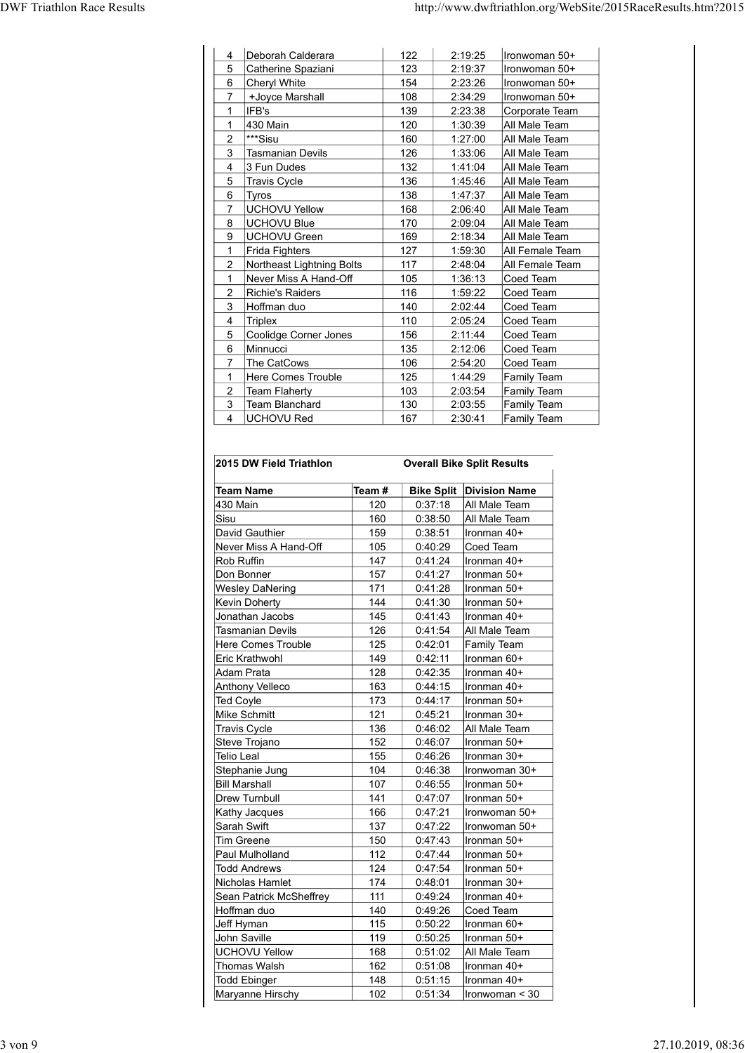| Deborah Calderara<br>$122$<br>2:19:25<br>Ironwoman 50+<br>$\overline{4}$<br>Catherine Spaziani<br>2:19:37<br>Ironwoman 50+<br>123<br>5<br>2:23:26<br>Cheryl White<br>154<br>Ironwoman 50+<br>6<br>+Joyce Marshall<br>108<br>2:34:29<br>Ironwoman 50+<br>7<br>139<br>2:23:38<br>IFB's<br>Corporate Team<br>1<br>430 Main<br>1:30:39<br>120<br>All Male Team<br>-1<br>$\overline{2}$<br><sup>***</sup> Sisu<br>160<br>1:27:00<br>All Male Team<br>Tasmanian Devils<br>126<br>1:33:06<br>All Male Team<br>3<br>3 Fun Dudes<br>132<br>1:41:04<br>All Male Team<br>4<br>1:45:46<br><b>Travis Cycle</b><br>136<br>All Male Team<br>5<br>1:47:37<br>6<br>138<br>All Male Team<br>Tyros<br>UCHOVU Yellow<br>168<br>2:06:40<br>All Male Team<br>$\overline{7}$<br>170<br><b>UCHOVU Blue</b><br>2:09:04<br>All Male Team<br>8<br>169<br>2:18:34<br>UCHOVU Green<br>9<br>All Male Team<br>Frida Fighters<br>All Female Team<br>127<br>1:59:30<br>1<br>Northeast Lightning Bolts<br>117<br>2:48:04<br>All Female Team<br>$\overline{2}$<br>Never Miss A Hand-Off<br>105<br>1:36:13<br>Coed Team<br>$\mathbf{1}$<br>Richie's Raiders<br>116<br>1:59:22<br>Coed Team<br>$\overline{2}$<br>Hoffman duo<br>140<br>Coed Team<br>2:02:44<br>3<br>110<br>2:05:24<br>Coed Team<br>$\overline{4}$<br>Triplex<br>Coolidge Corner Jones<br>156<br>2:11:44<br>Coed Team<br>5<br>135<br>2:12:06<br>Coed Team<br>6<br>Minnucci<br>The CatCows<br>106<br>2:54:20<br>Coed Team<br>$\overline{7}$<br>Here Comes Trouble<br>125<br>1:44:29<br>Family Team<br>$\mathbf{1}$<br>Team Flaherty<br>2:03:54<br><b>Family Team</b><br>$\overline{2}$<br>$103$ |      |     |  |  |
|--------------------------------------------------------------------------------------------------------------------------------------------------------------------------------------------------------------------------------------------------------------------------------------------------------------------------------------------------------------------------------------------------------------------------------------------------------------------------------------------------------------------------------------------------------------------------------------------------------------------------------------------------------------------------------------------------------------------------------------------------------------------------------------------------------------------------------------------------------------------------------------------------------------------------------------------------------------------------------------------------------------------------------------------------------------------------------------------------------------------------------------------------------------------------------------------------------------------------------------------------------------------------------------------------------------------------------------------------------------------------------------------------------------------------------------------------------------------------------------------------------------------------------------------------------------------------------------------------------------------------|------|-----|--|--|
|                                                                                                                                                                                                                                                                                                                                                                                                                                                                                                                                                                                                                                                                                                                                                                                                                                                                                                                                                                                                                                                                                                                                                                                                                                                                                                                                                                                                                                                                                                                                                                                                                          |      |     |  |  |
|                                                                                                                                                                                                                                                                                                                                                                                                                                                                                                                                                                                                                                                                                                                                                                                                                                                                                                                                                                                                                                                                                                                                                                                                                                                                                                                                                                                                                                                                                                                                                                                                                          |      |     |  |  |
| http://www.dwftriathlon.org/WebSite/2015RaceResults.htm?2015                                                                                                                                                                                                                                                                                                                                                                                                                                                                                                                                                                                                                                                                                                                                                                                                                                                                                                                                                                                                                                                                                                                                                                                                                                                                                                                                                                                                                                                                                                                                                             |      |     |  |  |
|                                                                                                                                                                                                                                                                                                                                                                                                                                                                                                                                                                                                                                                                                                                                                                                                                                                                                                                                                                                                                                                                                                                                                                                                                                                                                                                                                                                                                                                                                                                                                                                                                          |      |     |  |  |
|                                                                                                                                                                                                                                                                                                                                                                                                                                                                                                                                                                                                                                                                                                                                                                                                                                                                                                                                                                                                                                                                                                                                                                                                                                                                                                                                                                                                                                                                                                                                                                                                                          |      |     |  |  |
|                                                                                                                                                                                                                                                                                                                                                                                                                                                                                                                                                                                                                                                                                                                                                                                                                                                                                                                                                                                                                                                                                                                                                                                                                                                                                                                                                                                                                                                                                                                                                                                                                          |      |     |  |  |
|                                                                                                                                                                                                                                                                                                                                                                                                                                                                                                                                                                                                                                                                                                                                                                                                                                                                                                                                                                                                                                                                                                                                                                                                                                                                                                                                                                                                                                                                                                                                                                                                                          |      |     |  |  |
|                                                                                                                                                                                                                                                                                                                                                                                                                                                                                                                                                                                                                                                                                                                                                                                                                                                                                                                                                                                                                                                                                                                                                                                                                                                                                                                                                                                                                                                                                                                                                                                                                          |      |     |  |  |
|                                                                                                                                                                                                                                                                                                                                                                                                                                                                                                                                                                                                                                                                                                                                                                                                                                                                                                                                                                                                                                                                                                                                                                                                                                                                                                                                                                                                                                                                                                                                                                                                                          |      |     |  |  |
|                                                                                                                                                                                                                                                                                                                                                                                                                                                                                                                                                                                                                                                                                                                                                                                                                                                                                                                                                                                                                                                                                                                                                                                                                                                                                                                                                                                                                                                                                                                                                                                                                          |      |     |  |  |
|                                                                                                                                                                                                                                                                                                                                                                                                                                                                                                                                                                                                                                                                                                                                                                                                                                                                                                                                                                                                                                                                                                                                                                                                                                                                                                                                                                                                                                                                                                                                                                                                                          |      |     |  |  |
|                                                                                                                                                                                                                                                                                                                                                                                                                                                                                                                                                                                                                                                                                                                                                                                                                                                                                                                                                                                                                                                                                                                                                                                                                                                                                                                                                                                                                                                                                                                                                                                                                          |      |     |  |  |
|                                                                                                                                                                                                                                                                                                                                                                                                                                                                                                                                                                                                                                                                                                                                                                                                                                                                                                                                                                                                                                                                                                                                                                                                                                                                                                                                                                                                                                                                                                                                                                                                                          |      |     |  |  |
|                                                                                                                                                                                                                                                                                                                                                                                                                                                                                                                                                                                                                                                                                                                                                                                                                                                                                                                                                                                                                                                                                                                                                                                                                                                                                                                                                                                                                                                                                                                                                                                                                          |      |     |  |  |
|                                                                                                                                                                                                                                                                                                                                                                                                                                                                                                                                                                                                                                                                                                                                                                                                                                                                                                                                                                                                                                                                                                                                                                                                                                                                                                                                                                                                                                                                                                                                                                                                                          |      |     |  |  |
|                                                                                                                                                                                                                                                                                                                                                                                                                                                                                                                                                                                                                                                                                                                                                                                                                                                                                                                                                                                                                                                                                                                                                                                                                                                                                                                                                                                                                                                                                                                                                                                                                          |      |     |  |  |
|                                                                                                                                                                                                                                                                                                                                                                                                                                                                                                                                                                                                                                                                                                                                                                                                                                                                                                                                                                                                                                                                                                                                                                                                                                                                                                                                                                                                                                                                                                                                                                                                                          |      |     |  |  |
|                                                                                                                                                                                                                                                                                                                                                                                                                                                                                                                                                                                                                                                                                                                                                                                                                                                                                                                                                                                                                                                                                                                                                                                                                                                                                                                                                                                                                                                                                                                                                                                                                          |      |     |  |  |
|                                                                                                                                                                                                                                                                                                                                                                                                                                                                                                                                                                                                                                                                                                                                                                                                                                                                                                                                                                                                                                                                                                                                                                                                                                                                                                                                                                                                                                                                                                                                                                                                                          |      |     |  |  |
|                                                                                                                                                                                                                                                                                                                                                                                                                                                                                                                                                                                                                                                                                                                                                                                                                                                                                                                                                                                                                                                                                                                                                                                                                                                                                                                                                                                                                                                                                                                                                                                                                          |      |     |  |  |
|                                                                                                                                                                                                                                                                                                                                                                                                                                                                                                                                                                                                                                                                                                                                                                                                                                                                                                                                                                                                                                                                                                                                                                                                                                                                                                                                                                                                                                                                                                                                                                                                                          |      |     |  |  |
|                                                                                                                                                                                                                                                                                                                                                                                                                                                                                                                                                                                                                                                                                                                                                                                                                                                                                                                                                                                                                                                                                                                                                                                                                                                                                                                                                                                                                                                                                                                                                                                                                          |      |     |  |  |
|                                                                                                                                                                                                                                                                                                                                                                                                                                                                                                                                                                                                                                                                                                                                                                                                                                                                                                                                                                                                                                                                                                                                                                                                                                                                                                                                                                                                                                                                                                                                                                                                                          |      |     |  |  |
|                                                                                                                                                                                                                                                                                                                                                                                                                                                                                                                                                                                                                                                                                                                                                                                                                                                                                                                                                                                                                                                                                                                                                                                                                                                                                                                                                                                                                                                                                                                                                                                                                          |      |     |  |  |
|                                                                                                                                                                                                                                                                                                                                                                                                                                                                                                                                                                                                                                                                                                                                                                                                                                                                                                                                                                                                                                                                                                                                                                                                                                                                                                                                                                                                                                                                                                                                                                                                                          |      |     |  |  |
|                                                                                                                                                                                                                                                                                                                                                                                                                                                                                                                                                                                                                                                                                                                                                                                                                                                                                                                                                                                                                                                                                                                                                                                                                                                                                                                                                                                                                                                                                                                                                                                                                          |      |     |  |  |
|                                                                                                                                                                                                                                                                                                                                                                                                                                                                                                                                                                                                                                                                                                                                                                                                                                                                                                                                                                                                                                                                                                                                                                                                                                                                                                                                                                                                                                                                                                                                                                                                                          |      |     |  |  |
|                                                                                                                                                                                                                                                                                                                                                                                                                                                                                                                                                                                                                                                                                                                                                                                                                                                                                                                                                                                                                                                                                                                                                                                                                                                                                                                                                                                                                                                                                                                                                                                                                          |      |     |  |  |
|                                                                                                                                                                                                                                                                                                                                                                                                                                                                                                                                                                                                                                                                                                                                                                                                                                                                                                                                                                                                                                                                                                                                                                                                                                                                                                                                                                                                                                                                                                                                                                                                                          |      |     |  |  |
| Team Blanchard<br>130<br>2:03:55<br><b>Family Team</b><br>3                                                                                                                                                                                                                                                                                                                                                                                                                                                                                                                                                                                                                                                                                                                                                                                                                                                                                                                                                                                                                                                                                                                                                                                                                                                                                                                                                                                                                                                                                                                                                              |      |     |  |  |
| UCHOVU Red<br>167<br>2:30:41<br>Family Team<br>$\overline{4}$                                                                                                                                                                                                                                                                                                                                                                                                                                                                                                                                                                                                                                                                                                                                                                                                                                                                                                                                                                                                                                                                                                                                                                                                                                                                                                                                                                                                                                                                                                                                                            |      |     |  |  |
|                                                                                                                                                                                                                                                                                                                                                                                                                                                                                                                                                                                                                                                                                                                                                                                                                                                                                                                                                                                                                                                                                                                                                                                                                                                                                                                                                                                                                                                                                                                                                                                                                          |      |     |  |  |
|                                                                                                                                                                                                                                                                                                                                                                                                                                                                                                                                                                                                                                                                                                                                                                                                                                                                                                                                                                                                                                                                                                                                                                                                                                                                                                                                                                                                                                                                                                                                                                                                                          |      |     |  |  |
| <b>Bike Split Division Name</b><br><b>Team Name</b><br>Team#                                                                                                                                                                                                                                                                                                                                                                                                                                                                                                                                                                                                                                                                                                                                                                                                                                                                                                                                                                                                                                                                                                                                                                                                                                                                                                                                                                                                                                                                                                                                                             | Sisu | 160 |  |  |
| 430 Main<br>120<br>0:37:18<br>All Male Team<br>0:38:50<br>All Male Team                                                                                                                                                                                                                                                                                                                                                                                                                                                                                                                                                                                                                                                                                                                                                                                                                                                                                                                                                                                                                                                                                                                                                                                                                                                                                                                                                                                                                                                                                                                                                  |      | 159 |  |  |
| David Gauthier<br>0:38:51<br>Ironman 40+                                                                                                                                                                                                                                                                                                                                                                                                                                                                                                                                                                                                                                                                                                                                                                                                                                                                                                                                                                                                                                                                                                                                                                                                                                                                                                                                                                                                                                                                                                                                                                                 |      | 105 |  |  |
| Never Miss A Hand-Off<br>Coed Team<br>0:40:29                                                                                                                                                                                                                                                                                                                                                                                                                                                                                                                                                                                                                                                                                                                                                                                                                                                                                                                                                                                                                                                                                                                                                                                                                                                                                                                                                                                                                                                                                                                                                                            |      |     |  |  |
| 147<br>0:41:24<br>Rob Ruffin<br>Ironman 40+                                                                                                                                                                                                                                                                                                                                                                                                                                                                                                                                                                                                                                                                                                                                                                                                                                                                                                                                                                                                                                                                                                                                                                                                                                                                                                                                                                                                                                                                                                                                                                              |      |     |  |  |
| 157<br>0:41:27<br>Don Bonner<br>Ironman 50+                                                                                                                                                                                                                                                                                                                                                                                                                                                                                                                                                                                                                                                                                                                                                                                                                                                                                                                                                                                                                                                                                                                                                                                                                                                                                                                                                                                                                                                                                                                                                                              |      |     |  |  |
| <b>Wesley DaNering</b><br>171<br>0:41:28<br>Ironman 50+                                                                                                                                                                                                                                                                                                                                                                                                                                                                                                                                                                                                                                                                                                                                                                                                                                                                                                                                                                                                                                                                                                                                                                                                                                                                                                                                                                                                                                                                                                                                                                  |      |     |  |  |
| 144<br>0:41:30<br>Kevin Doherty<br>Ironman 50+                                                                                                                                                                                                                                                                                                                                                                                                                                                                                                                                                                                                                                                                                                                                                                                                                                                                                                                                                                                                                                                                                                                                                                                                                                                                                                                                                                                                                                                                                                                                                                           |      |     |  |  |
| Jonathan Jacobs<br>145<br>0:41:43<br>Ironman 40+                                                                                                                                                                                                                                                                                                                                                                                                                                                                                                                                                                                                                                                                                                                                                                                                                                                                                                                                                                                                                                                                                                                                                                                                                                                                                                                                                                                                                                                                                                                                                                         |      |     |  |  |
| <b>Tasmanian Devils</b><br>126<br>0:41:54<br>All Male Team<br>Here Comes Trouble<br>125<br>0:42:01<br>Family Team                                                                                                                                                                                                                                                                                                                                                                                                                                                                                                                                                                                                                                                                                                                                                                                                                                                                                                                                                                                                                                                                                                                                                                                                                                                                                                                                                                                                                                                                                                        |      |     |  |  |

| 2                 | Northeast Lightning Bolts |            | 117               | 2:48:04                           | All Female Team    |  |
|-------------------|---------------------------|------------|-------------------|-----------------------------------|--------------------|--|
| 1                 | Never Miss A Hand-Off     |            | 105               | 1:36:13                           | Coed Team          |  |
| 2                 | Richie's Raiders          |            | 116               | 1:59:22                           | Coed Team          |  |
| 3                 | Hoffman duo               |            | 140               | 2:02:44                           | Coed Team          |  |
| 4                 | Triplex                   |            | 110               | 2:05:24                           | Coed Team          |  |
| 5                 | Coolidge Corner Jones     |            | 156               | 2:11:44                           | Coed Team          |  |
| 6                 | Minnucci                  |            | 135               | 2:12:06                           | Coed Team          |  |
| 7                 | The CatCows               |            | 106               | 2:54:20                           | Coed Team          |  |
| 1                 | <b>Here Comes Trouble</b> |            | 125               | 1:44:29                           | <b>Family Team</b> |  |
| 2                 | <b>Team Flaherty</b>      |            | 103               | 2:03:54                           | <b>Family Team</b> |  |
| 3                 | Team Blanchard            |            | 130               | 2:03:55                           | Family Team        |  |
| 4                 | <b>UCHOVU Red</b>         |            | 167               | 2:30:41                           | Family Team        |  |
|                   |                           |            |                   |                                   |                    |  |
|                   |                           |            |                   |                                   |                    |  |
|                   | 2015 DW Field Triathlon   |            |                   | <b>Overall Bike Split Results</b> |                    |  |
|                   |                           |            |                   |                                   |                    |  |
|                   | <b>Team Name</b>          | Team #     | <b>Bike Split</b> | <b>Division Name</b>              |                    |  |
|                   |                           |            | 0:37:18           | All Male Team                     |                    |  |
| 430 Main<br>Sisu  |                           | 120<br>160 | 0:38:50           | All Male Team                     |                    |  |
|                   | David Gauthier            |            |                   | Ironman 40+                       |                    |  |
|                   |                           | 159        | 0:38:51           |                                   |                    |  |
|                   | Never Miss A Hand-Off     | 105        | 0:40:29           | Coed Team                         |                    |  |
| Rob Ruffin        |                           | 147        | 0:41:24           | Ironman 40+                       |                    |  |
|                   | Don Bonner                | 157        | 0:41:27           | Ironman 50+                       |                    |  |
|                   | <b>Wesley DaNering</b>    | 171        | 0:41:28           | Ironman 50+                       |                    |  |
|                   | <b>Kevin Doherty</b>      | 144        | 0:41:30           | Ironman 50+                       |                    |  |
|                   | Jonathan Jacobs           | 145        | 0:41:43           | Ironman 40+                       |                    |  |
|                   | Tasmanian Devils          | 126        | 0:41:54           | All Male Team                     |                    |  |
|                   | <b>Here Comes Trouble</b> | 125        | 0:42:01           | Family Team                       |                    |  |
|                   | Eric Krathwohl            | 149        | 0:42:11           | Ironman 60+                       |                    |  |
|                   | Adam Prata                | 128        | 0:42:35           | Ironman 40+                       |                    |  |
|                   | <b>Anthony Velleco</b>    | 163        | 0:44:15           | Ironman 40+                       |                    |  |
| <b>Ted Coyle</b>  |                           | 173        | 0:44:17           | Ironman 50+                       |                    |  |
|                   | Mike Schmitt              | 121        | 0:45:21           | Ironman 30+                       |                    |  |
|                   | <b>Travis Cycle</b>       | 136        | 0:46:02           | All Male Team                     |                    |  |
|                   | Steve Trojano             | 152        | 0:46:07           | Ironman 50+                       |                    |  |
| <b>Telio Leal</b> |                           | 155        | 0:46:26           | Ironman 30+                       |                    |  |
|                   | Stephanie Jung            | 104        | 0:46:38           |                                   | Ironwoman 30+      |  |
|                   | <b>Bill Marshall</b>      | 107        | 0:46:55           | Ironman 50+                       |                    |  |
|                   | <b>Drew Turnbull</b>      | 141        | 0:47:07           | Ironman 50+                       |                    |  |
|                   | Kathy Jacques             | 166        | 0:47:21           |                                   | Ironwoman 50+      |  |
| Sarah Swift       |                           | 137        | 0:47:22           | Ironwoman 50+                     |                    |  |
|                   | <b>Tim Greene</b>         | 150        | 0:47:43           | Ironman 50+                       |                    |  |
|                   | Paul Mulholland           | 112        | 0:47:44           | Ironman 50+                       |                    |  |
|                   | <b>Todd Andrews</b>       | 124        | 0:47:54           | Ironman 50+                       |                    |  |
|                   | Nicholas Hamlet           | 174        | 0:48:01           | Ironman 30+                       |                    |  |
|                   |                           |            |                   |                                   |                    |  |
|                   | Sean Patrick McSheffrey   | 111        | 0:49:24           | Ironman 40+                       |                    |  |
|                   | Hoffman duo               | 140        | 0:49:26           | Coed Team                         |                    |  |
| Jeff Hyman        |                           | 115        | 0:50:22           | Ironman 60+                       |                    |  |
|                   | John Saville              | 119        | 0:50:25           | Ironman 50+                       |                    |  |
|                   | <b>UCHOVU Yellow</b>      | 168        | 0:51:02           | All Male Team                     |                    |  |
|                   | <b>Thomas Walsh</b>       | 162        | 0:51:08           | Ironman 40+                       |                    |  |
|                   | <b>Todd Ebinger</b>       | 148        | 0:51:15           | Ironman 40+                       |                    |  |
|                   | Maryanne Hirschy          | 102        | 0:51:34           |                                   | Ironwoman < 30     |  |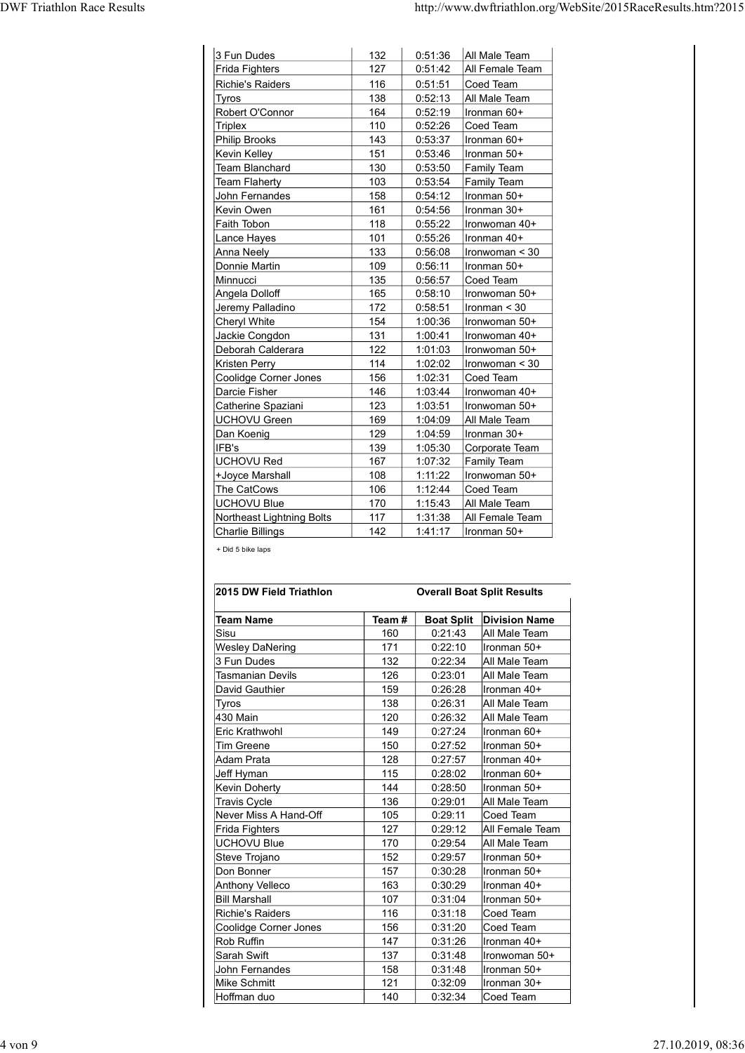|                                               |            |                               | http://www.dwftriathlon.org/WebSite/2015RaceResults.htm?2015 |
|-----------------------------------------------|------------|-------------------------------|--------------------------------------------------------------|
|                                               |            |                               |                                                              |
|                                               |            |                               |                                                              |
| 3 Fun Dudes<br>Frida Fighters                 | 132<br>127 | 0:51:36<br>0:51:42            | All Male Team<br>All Female Team                             |
| Richie's Raiders                              | 116        | 0:51:51                       | Coed Team                                                    |
| Tyros<br>Robert O'Connor                      | 138<br>164 | 0:52:13<br>0:52:19            | All Male Team<br>Ironman 60+                                 |
| <b>Triplex</b>                                | 110        | 0:52:26                       | Coed Team                                                    |
| <b>Philip Brooks</b>                          | 143        | 0:53:37                       | Ironman 60+                                                  |
| <b>Kevin Kelley</b><br><b>Team Blanchard</b>  | 151<br>130 | 0:53:46<br>0:53:50            | Ironman 50+<br><b>Family Team</b>                            |
| <b>Team Flaherty</b>                          | 103        | 0:53:54                       | <b>Family Team</b>                                           |
| John Fernandes<br>Kevin Owen                  | 158<br>161 | 0:54:12<br>0:54:56            | Ironman 50+<br>Ironman 30+                                   |
| Faith Tobon                                   | 118        | 0:55:22                       | Ironwoman 40+                                                |
| Lance Hayes                                   | 101        | 0:55:26                       | Ironman 40+                                                  |
| Anna Neely<br>Donnie Martin                   | 133<br>109 | 0:56:08<br>0:56:11            | Ironwoman < 30<br>Ironman 50+                                |
| Minnucci                                      | 135        | 0:56:57                       | Coed Team                                                    |
| Angela Dolloff                                | 165        | 0:58:10                       | Ironwoman 50+                                                |
| Jeremy Palladino<br>Cheryl White              | 172<br>154 | 0:58:51<br>1:00:36            | Ironman $<$ 30<br>Ironwoman 50+                              |
| Jackie Congdon                                | 131        | 1:00:41                       | Ironwoman 40+                                                |
| Deborah Calderara                             | 122        | 1:01:03                       | Ironwoman 50+                                                |
| Kristen Perry<br><b>Coolidge Corner Jones</b> | 114<br>156 | 1:02:02<br>1:02:31            | Ironwoman < 30<br>Coed Team                                  |
| Darcie Fisher                                 | 146        | 1:03:44                       | Ironwoman 40+                                                |
| Catherine Spaziani                            | 123        | 1:03:51                       | Ironwoman 50+                                                |
| <b>UCHOVU Green</b><br>Dan Koenig             | 169<br>129 | 1:04:09<br>1:04:59            | All Male Team<br>Ironman 30+                                 |
| IFB's                                         | 139        | 1:05:30                       | Corporate Team                                               |
| <b>UCHOVU Red</b><br>+Joyce Marshall          | 167<br>108 | 1:07:32<br>1:11:22            | Family Team<br>Ironwoman 50+                                 |
| The CatCows                                   | 106        | 1:12:44                       | Coed Team                                                    |
| UCHOVU Blue                                   | 170        | 1:15:43                       | All Male Team                                                |
| Northeast Lightning Bolts<br>Charlie Billings | 117<br>142 | 1:31:38<br>1:41:17            | All Female Team<br>Ironman 50+                               |
| + Did 5 bike laps                             |            |                               |                                                              |
|                                               |            |                               |                                                              |
|                                               |            |                               |                                                              |
| 2015 DW Field Triathlon                       |            |                               | <b>Overall Boat Split Results</b>                            |
| <b>Team Name</b>                              | Team#      |                               | <b>Boat Split</b> Division Name                              |
| Sisu<br><b>Wesley DaNering</b>                | 160<br>171 | 0:21:43<br>0:22:10            | All Male Team<br>Ironman 50+                                 |
|                                               | 132        | 0:22:34                       | All Male Team                                                |
| 3 Fun Dudes                                   | 126        | 0:23:01                       |                                                              |
| <b>Tasmanian Devils</b>                       |            |                               | All Male Team                                                |
| David Gauthier                                | 159        | 0:26:28                       | Ironman 40+                                                  |
| <b>Tyros</b><br>430 Main                      | 138<br>120 | 0:26:31                       | All Male Team                                                |
| Eric Krathwohl<br><b>Tim Greene</b>           | 149<br>150 | 0:26:32<br>0:27:24<br>0:27:52 | All Male Team<br>Ironman 60+<br>Ironman 50+                  |

| Kristen Perry                | 114        | 1:02:02            | ∣Ironwoman < 30                   |
|------------------------------|------------|--------------------|-----------------------------------|
| <b>Coolidge Corner Jones</b> | 156        | 1:02:31            | Coed Team                         |
| Darcie Fisher                | 146        | 1:03:44            | Ironwoman 40+                     |
| Catherine Spaziani           | 123        | 1:03:51            | Ironwoman 50+                     |
| <b>UCHOVU Green</b>          | 169        | 1:04:09            | All Male Team                     |
| Dan Koenig                   | 129        | 1:04:59            | Ironman 30+                       |
| IFB's                        | 139        | 1:05:30            | Corporate Team                    |
| <b>UCHOVU Red</b>            | 167        | 1:07:32            | <b>Family Team</b>                |
| +Joyce Marshall              | 108        | 1:11:22            | Ironwoman 50+                     |
| The CatCows                  | 106        | 1:12:44            | Coed Team                         |
| <b>UCHOVU Blue</b>           | 170        | 1:15:43            | All Male Team                     |
| Northeast Lightning Bolts    | 117        | 1:31:38            | All Female Team                   |
| Charlie Billings             | 142        | 1:41:17            | Ironman 50+                       |
|                              |            |                    |                                   |
| + Did 5 bike laps            |            |                    |                                   |
|                              |            |                    |                                   |
|                              |            |                    |                                   |
| 2015 DW Field Triathlon      |            |                    | <b>Overall Boat Split Results</b> |
|                              |            |                    |                                   |
| <b>Team Name</b>             | Team#      | <b>Boat Split</b>  | <b>Division Name</b>              |
| Sisu                         | 160        | 0:21:43            | All Male Team                     |
| <b>Wesley DaNering</b>       | 171        | 0:22:10            | Ironman 50+                       |
| 3 Fun Dudes                  | 132        | 0:22:34            | All Male Team                     |
| <b>Tasmanian Devils</b>      | 126        | 0:23:01            | All Male Team                     |
| David Gauthier               | 159        | 0:26:28            | Ironman 40+                       |
| <b>Tyros</b>                 | 138        | 0:26:31            | All Male Team                     |
| 430 Main                     | 120        | 0:26:32            | All Male Team                     |
| Eric Krathwohl               | 149        | 0:27:24            | Ironman 60+                       |
| <b>Tim Greene</b>            | 150        | 0:27:52            | Ironman 50+                       |
| Adam Prata                   | 128        | 0:27:57            | Ironman 40+                       |
| Jeff Hyman                   | 115        | 0:28:02            | Ironman 60+                       |
| <b>Kevin Doherty</b>         | 144        | 0:28:50            | Ironman 50+                       |
| <b>Travis Cycle</b>          | 136        | 0:29:01            | All Male Team                     |
| Never Miss A Hand-Off        | 105        | 0:29:11            | Coed Team                         |
| Frida Fighters               | 127        | 0:29:12            | All Female Team                   |
| <b>UCHOVU Blue</b>           | 170        | 0:29:54            | All Male Team                     |
| Steve Trojano                | 152        | 0:29:57            | Ironman 50+                       |
| Don Bonner                   | 157        | 0:30:28            | Ironman 50+                       |
| Anthony Velleco              | 163        | 0:30:29            | llronman 40+                      |
| <b>Bill Marshall</b>         | 107        | 0:31:04            | Ironman 50+                       |
| <b>Richie's Raiders</b>      | 116        | 0:31:18            | Coed Team                         |
|                              | 156        | 0:31:20            | Coed Team                         |
|                              | 147        | 0:31:26            | Ironman 40+                       |
| Coolidge Corner Jones        |            |                    | Ironwoman 50+                     |
| Rob Ruffin                   |            |                    |                                   |
| Sarah Swift                  | 137        | 0:31:48            |                                   |
| John Fernandes               | 158        | 0:31:48            | Ironman 50+                       |
| Mike Schmitt<br>Hoffman duo  | 121<br>140 | 0:32:09<br>0:32:34 | Ironman 30+<br>Coed Team          |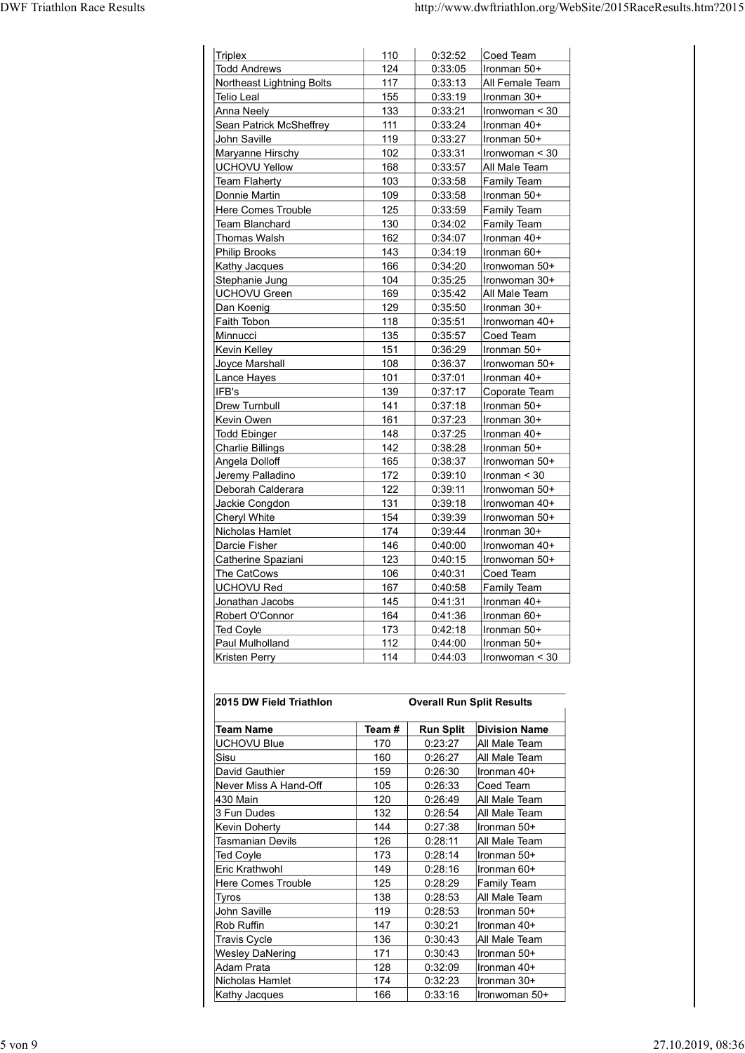| <b>DWF Triathlon Race Results</b> |                                                  |            |                    | http://www.dwftriathlon.org/WebSite/2015RaceResults.htm?2015 |
|-----------------------------------|--------------------------------------------------|------------|--------------------|--------------------------------------------------------------|
|                                   |                                                  |            |                    |                                                              |
|                                   |                                                  |            |                    |                                                              |
|                                   | <b>Triplex</b>                                   | 110        | 0:32:52            | Coed Team                                                    |
|                                   | <b>Todd Andrews</b><br>Northeast Lightning Bolts | 124<br>117 | 0:33:05<br>0:33:13 | Ironman 50+<br>All Female Team                               |
|                                   | Telio Leal                                       | 155        | 0:33:19            | Ironman 30+                                                  |
|                                   | Anna Neely                                       | 133        | 0:33:21            | Ironwoman < 30                                               |
|                                   | Sean Patrick McSheffrey                          | 111        | 0:33:24            | Ironman 40+                                                  |
|                                   | John Saville<br>Maryanne Hirschy                 | 119<br>102 | 0:33:27<br>0:33:31 | Ironman 50+<br>Ironwoman < 30                                |
|                                   | <b>UCHOVU Yellow</b>                             | 168        | 0:33:57            | All Male Team                                                |
|                                   | <b>Team Flaherty</b>                             | 103        | 0:33:58            | <b>Family Team</b>                                           |
|                                   | Donnie Martin                                    | 109        | 0:33:58            | Ironman 50+                                                  |
|                                   | Here Comes Trouble<br><b>Team Blanchard</b>      | 125<br>130 | 0:33:59<br>0:34:02 | Family Team<br>Family Team                                   |
|                                   | <b>Thomas Walsh</b>                              | 162        | 0:34:07            | Ironman 40+                                                  |
|                                   | <b>Philip Brooks</b>                             | 143        | 0:34:19            | Ironman 60+                                                  |
|                                   | Kathy Jacques                                    | 166        | 0:34:20            | Ironwoman 50+                                                |
|                                   | Stephanie Jung<br><b>UCHOVU Green</b>            | 104<br>169 | 0:35:25<br>0:35:42 | Ironwoman 30+<br>All Male Team                               |
|                                   | Dan Koenig                                       | 129        | 0:35:50            | Ironman 30+                                                  |
|                                   | Faith Tobon                                      | 118        | 0:35:51            | Ironwoman 40+                                                |
|                                   | Minnucci                                         | 135        | 0:35:57            | Coed Team                                                    |
|                                   | Kevin Kelley<br>Joyce Marshall                   | 151<br>108 | 0:36:29<br>0:36:37 | Ironman 50+<br>Ironwoman 50+                                 |
|                                   | Lance Hayes                                      | $101$      | 0:37:01            | Ironman 40+                                                  |
|                                   | IFB's                                            | 139        | 0:37:17            | Coporate Team                                                |
|                                   | Drew Turnbull                                    | 141        | 0:37:18            | Ironman 50+                                                  |
|                                   | Kevin Owen<br><b>Todd Ebinger</b>                | 161<br>148 | 0:37:23<br>0:37:25 | Ironman 30+<br>Ironman 40+                                   |
|                                   | <b>Charlie Billings</b>                          | 142        | 0:38:28            | Ironman 50+                                                  |
|                                   | Angela Dolloff                                   | 165        | 0:38:37            | Ironwoman 50+                                                |
|                                   | Jeremy Palladino                                 | 172        | 0:39:10            | Ironman < 30                                                 |
|                                   | Deborah Calderara<br>Jackie Congdon              | 122<br>131 | 0:39:11<br>0:39:18 | Ironwoman 50+<br>Ironwoman 40+                               |
|                                   | <b>Cheryl White</b>                              | 154        | 0:39:39            | Ironwoman 50+                                                |
|                                   | Nicholas Hamlet                                  | 174        | 0:39:44            | Ironman 30+                                                  |
|                                   | Darcie Fisher                                    | 146        | 0:40:00            | Ironwoman 40+                                                |
|                                   | Catherine Spaziani<br>The CatCows                | 123<br>106 | 0:40:15<br>0:40:31 | Ironwoman 50+<br>Coed Team                                   |
|                                   | <b>UCHOVU Red</b>                                | 167        | 0:40:58            | Family Team                                                  |
|                                   | Jonathan Jacobs                                  | 145        | 0:41:31            | Ironman 40+                                                  |
|                                   | Robert O'Connor                                  | 164        | 0:41:36            | Ironman 60+                                                  |
|                                   | Ted Coyle                                        | 173<br>112 | 0:42:18<br>0:44:00 | Ironman 50+<br>Ironman 50+                                   |
|                                   | Paul Mulholland                                  |            |                    |                                                              |

| Deborah Calderara         | 122   | 0:39:11                          | Ironwoman 50+        |
|---------------------------|-------|----------------------------------|----------------------|
| Jackie Congdon            | 131   | 0:39:18                          | Ironwoman 40+        |
| Cheryl White              | 154   | 0:39:39                          | Ironwoman 50+        |
| Nicholas Hamlet           | 174   | 0:39:44                          | Ironman 30+          |
| Darcie Fisher             | 146   | 0:40:00                          | Ironwoman 40+        |
| Catherine Spaziani        | 123   | 0:40:15                          | Ironwoman 50+        |
| The CatCows               | 106   | 0:40:31                          | Coed Team            |
| <b>UCHOVU Red</b>         | 167   | 0:40:58                          | <b>Family Team</b>   |
| Jonathan Jacobs           | 145   | 0:41:31                          | Ironman 40+          |
| Robert O'Connor           | 164   | 0:41:36                          | Ironman 60+          |
| <b>Ted Coyle</b>          | 173   | 0:42:18                          | Ironman 50+          |
| Paul Mulholland           | 112   | 0:44:00                          | Ironman 50+          |
| Kristen Perry             | 114   | 0:44:03                          | Ironwoman < 30       |
| 2015 DW Field Triathlon   |       | <b>Overall Run Split Results</b> |                      |
| <b>Team Name</b>          | Team# | <b>Run Split</b>                 | <b>Division Name</b> |
| <b>UCHOVU Blue</b>        | 170   | 0:23:27                          | All Male Team        |
| Sisu                      | 160   | 0:26:27                          | All Male Team        |
| David Gauthier            | 159   | 0:26:30                          | Ironman 40+          |
| Never Miss A Hand-Off     | 105   | 0:26:33                          | Coed Team            |
| 430 Main                  | 120   | 0:26:49                          | All Male Team        |
| 3 Fun Dudes               | 132   | 0:26:54                          | All Male Team        |
| <b>Kevin Doherty</b>      | 144   | 0:27:38                          | Ironman 50+          |
| <b>Tasmanian Devils</b>   | 126   | 0:28:11                          | All Male Team        |
| <b>Ted Coyle</b>          | 173   | 0:28:14                          | Ironman 50+          |
| Eric Krathwohl            | 149   | 0:28:16                          | Ironman 60+          |
| <b>Here Comes Trouble</b> | 125   | 0:28:29                          | <b>Family Team</b>   |
| Tyros                     | 138   | 0:28:53                          | All Male Team        |
| John Saville              | 119   | 0:28:53                          | Ironman 50+          |
| <b>Rob Ruffin</b>         | 147   | 0:30:21                          | Ironman 40+          |
| <b>Travis Cycle</b>       | 136   | 0:30:43                          | All Male Team        |
| <b>Wesley DaNering</b>    | 171   | 0:30:43                          | Ironman 50+          |
| Adam Prata                | 128   | 0:32:09                          | Ironman 40+          |
| Nicholas Hamlet           | 174   | 0:32:23                          | Ironman 30+          |
|                           | 166   | 0:33:16                          | Ironwoman 50+        |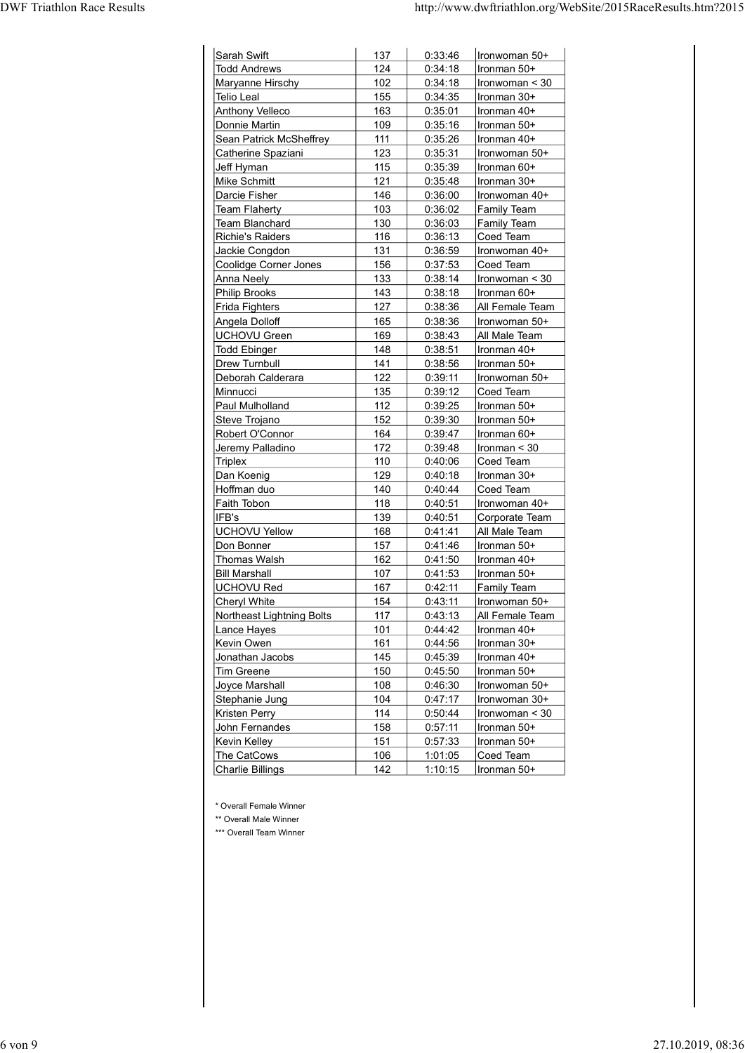| Sarah Swift<br><b>Todd Andrews</b>        |            |                    |                                  |
|-------------------------------------------|------------|--------------------|----------------------------------|
|                                           |            |                    |                                  |
|                                           | 137<br>124 | 0:33:46<br>0:34:18 | Ironwoman 50+<br>Ironman 50+     |
| Maryanne Hirschy                          | 102        | 0:34:18            | Ironwoman < 30                   |
| Telio Leal                                | 155        | 0:34:35            | Ironman 30+                      |
| <b>Anthony Velleco</b>                    | 163        | 0:35:01            | Ironman 40+                      |
| Donnie Martin                             | 109        | 0:35:16            | Ironman 50+                      |
| Sean Patrick McSheffrey                   | 111<br>123 | 0:35:26<br>0:35:31 | Ironman 40+<br>Ironwoman 50+     |
| Catherine Spaziani<br>Jeff Hyman          | 115        | 0:35:39            | Ironman 60+                      |
| Mike Schmitt                              | 121        | 0:35:48            | Ironman 30+                      |
| Darcie Fisher                             | 146        | 0:36:00            | Ironwoman 40+                    |
| <b>Team Flaherty</b>                      | 103        | 0:36:02            | <b>Family Team</b>               |
| <b>Team Blanchard</b>                     | 130        | 0:36:03            | Family Team                      |
| Richie's Raiders                          | 116        | 0:36:13            | Coed Team                        |
| Jackie Congdon<br>Coolidge Corner Jones   | 131<br>156 | 0:36:59<br>0:37:53 | Ironwoman 40+<br>Coed Team       |
| Anna Neely                                | 133        | 0:38:14            | Ironwoman < 30                   |
| <b>Philip Brooks</b>                      | 143        | 0:38:18            | Ironman 60+                      |
| Frida Fighters                            | 127        | 0:38:36            | All Female Team                  |
| Angela Dolloff                            | 165        | 0:38:36            | Ironwoman 50+                    |
| <b>UCHOVU Green</b>                       | 169        | 0:38:43            | All Male Team                    |
| <b>Todd Ebinger</b>                       | 148        | 0:38:51            | Ironman 40+                      |
| Drew Turnbull                             | 141        | 0:38:56            | Ironman 50+                      |
| Deborah Calderara<br>Minnucci             | 122<br>135 | 0:39:11<br>0:39:12 | Ironwoman 50+<br>Coed Team       |
| Paul Mulholland                           | $112$      | 0:39:25            | Ironman 50+                      |
| Steve Trojano                             | 152        | 0:39:30            | Ironman 50+                      |
| Robert O'Connor                           | 164        | 0:39:47            | Ironman 60+                      |
| Jeremy Palladino                          | 172        | 0:39:48            | Ironman $<$ 30                   |
| <b>Triplex</b>                            | 110        | 0:40:06            | Coed Team                        |
| Dan Koenig<br>Hoffman duo                 | 129        | 0:40:18            | Ironman 30+<br>Coed Team         |
| Faith Tobon                               | 140<br>118 | 0:40:44<br>0:40:51 | Ironwoman 40+                    |
| IFB's                                     | 139        | 0:40:51            | Corporate Team                   |
| <b>UCHOVU Yellow</b>                      | 168        | 0:41:41            | All Male Team                    |
| Don Bonner                                | 157        | 0:41:46            | Ironman 50+                      |
| Thomas Walsh                              | 162        | 0:41:50            | Ironman 40+                      |
| <b>Bill Marshall</b>                      | 107        | 0:41:53            | Ironman 50+                      |
| <b>UCHOVU Red</b>                         | 167        | 0:42:11            | <b>Family Team</b>               |
| Cheryl White<br>Northeast Lightning Bolts | 154<br>117 | 0:43:11<br>0:43:13 | Ironwoman 50+<br>All Female Team |
| Lance Hayes                               | $101$      | 0:44:42            | Ironman 40+                      |
| Kevin Owen                                | 161        | 0:44:56            | Ironman 30+                      |
| Jonathan Jacobs                           | 145        | 0:45:39            | Ironman 40+                      |
| Tim Greene                                | 150        | 0:45:50            | Ironman 50+                      |
| Joyce Marshall                            | 108        | 0:46:30            | Ironwoman 50+                    |
| Stephanie Jung<br><b>Kristen Perry</b>    | 104        | 0:47:17            | Ironwoman 30+                    |
|                                           | 114        | 0:50:44            | Ironwoman < 30<br>Ironman 50+    |
|                                           | 158<br>151 | 0:57:11<br>0:57:33 | Ironman 50+                      |
| John Fernandes                            |            |                    | Coed Team                        |
| Kevin Kelley<br>The CatCows               | 106        | 1:01:05            |                                  |